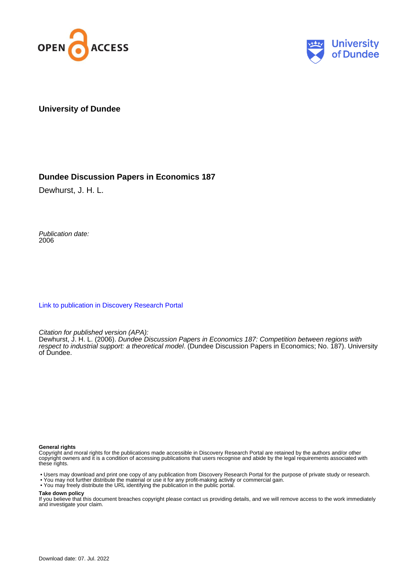



**University of Dundee**

### **Dundee Discussion Papers in Economics 187**

Dewhurst, J. H. L.

Publication date: 2006

[Link to publication in Discovery Research Portal](https://discovery.dundee.ac.uk/en/publications/663250c8-9897-4b04-afe2-5f39117f2be0)

Citation for published version (APA):

Dewhurst, J. H. L. (2006). Dundee Discussion Papers in Economics 187: Competition between regions with respect to industrial support: a theoretical model. (Dundee Discussion Papers in Economics; No. 187). University of Dundee.

#### **General rights**

Copyright and moral rights for the publications made accessible in Discovery Research Portal are retained by the authors and/or other copyright owners and it is a condition of accessing publications that users recognise and abide by the legal requirements associated with these rights.

• Users may download and print one copy of any publication from Discovery Research Portal for the purpose of private study or research.

- You may not further distribute the material or use it for any profit-making activity or commercial gain.
- You may freely distribute the URL identifying the publication in the public portal.

#### **Take down policy**

If you believe that this document breaches copyright please contact us providing details, and we will remove access to the work immediately and investigate your claim.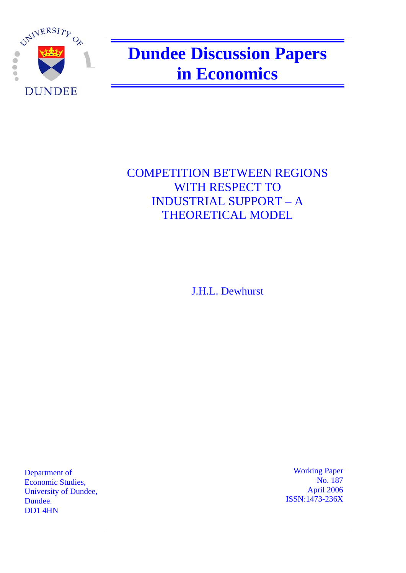

# **Dundee Discussion Papers in Economics**

## COMPETITION BETWEEN REGIONS WITH RESPECT TO INDUSTRIAL SUPPORT – A THEORETICAL MODEL

J.H.L. Dewhurst

Department of Economic Studies, University of Dundee, Dundee. DD1 4HN

 Working Paper No. 187 April 2006 ISSN:1473-236X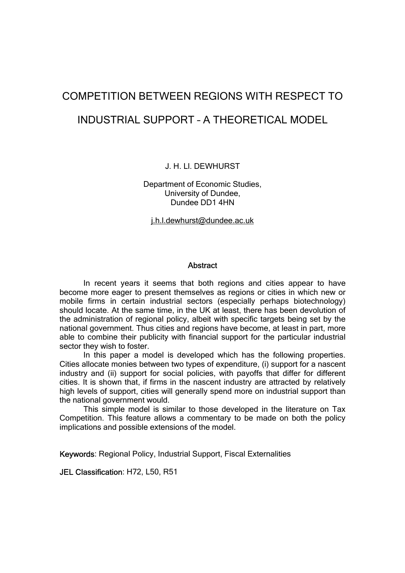# COMPETITION BETWEEN REGIONS WITH RESPECT TO INDUSTRIAL SUPPORT – A THEORETICAL MODEL

J. H. Ll. DEWHURST

Department of Economic Studies, University of Dundee, Dundee DD1 4HN

j.h.l.dewhurst@dundee.ac.uk

#### **Abstract**

In recent years it seems that both regions and cities appear to have become more eager to present themselves as regions or cities in which new or mobile firms in certain industrial sectors (especially perhaps biotechnology) should locate. At the same time, in the UK at least, there has been devolution of the administration of regional policy, albeit with specific targets being set by the national government. Thus cities and regions have become, at least in part, more able to combine their publicity with financial support for the particular industrial sector they wish to foster.

In this paper a model is developed which has the following properties. Cities allocate monies between two types of expenditure, (i) support for a nascent industry and (ii) support for social policies, with payoffs that differ for different cities. It is shown that, if firms in the nascent industry are attracted by relatively high levels of support, cities will generally spend more on industrial support than the national government would.

This simple model is similar to those developed in the literature on Tax Competition. This feature allows a commentary to be made on both the policy implications and possible extensions of the model.

Keywords: Regional Policy, Industrial Support, Fiscal Externalities

JEL Classification: H72, L50, R51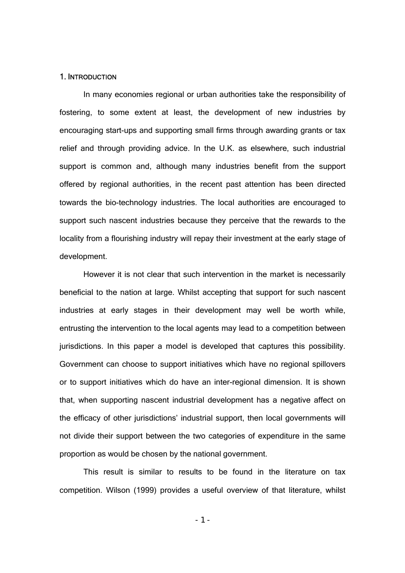#### 1. INTRODUCTION

 In many economies regional or urban authorities take the responsibility of fostering, to some extent at least, the development of new industries by encouraging start-ups and supporting small firms through awarding grants or tax relief and through providing advice. In the U.K. as elsewhere, such industrial support is common and, although many industries benefit from the support offered by regional authorities, in the recent past attention has been directed towards the bio-technology industries. The local authorities are encouraged to support such nascent industries because they perceive that the rewards to the locality from a flourishing industry will repay their investment at the early stage of development.

 However it is not clear that such intervention in the market is necessarily beneficial to the nation at large. Whilst accepting that support for such nascent industries at early stages in their development may well be worth while, entrusting the intervention to the local agents may lead to a competition between jurisdictions. In this paper a model is developed that captures this possibility. Government can choose to support initiatives which have no regional spillovers or to support initiatives which do have an inter-regional dimension. It is shown that, when supporting nascent industrial development has a negative affect on the efficacy of other jurisdictions' industrial support, then local governments will not divide their support between the two categories of expenditure in the same proportion as would be chosen by the national government.

 This result is similar to results to be found in the literature on tax competition. Wilson (1999) provides a useful overview of that literature, whilst

 $-1 -$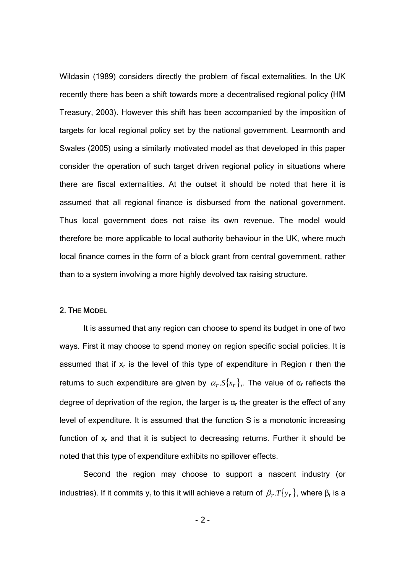Wildasin (1989) considers directly the problem of fiscal externalities. In the UK recently there has been a shift towards more a decentralised regional policy (HM Treasury, 2003). However this shift has been accompanied by the imposition of targets for local regional policy set by the national government. Learmonth and Swales (2005) using a similarly motivated model as that developed in this paper consider the operation of such target driven regional policy in situations where there are fiscal externalities. At the outset it should be noted that here it is assumed that all regional finance is disbursed from the national government. Thus local government does not raise its own revenue. The model would therefore be more applicable to local authority behaviour in the UK, where much local finance comes in the form of a block grant from central government, rather than to a system involving a more highly devolved tax raising structure.

### 2. THE MODEL

 It is assumed that any region can choose to spend its budget in one of two ways. First it may choose to spend money on region specific social policies. It is assumed that if  $x_r$  is the level of this type of expenditure in Region r then the returns to such expenditure are given by  $\alpha_r S\{x_r\}$ . The value of  $\alpha_r$  reflects the degree of deprivation of the region, the larger is  $\alpha_r$  the greater is the effect of any level of expenditure. It is assumed that the function S is a monotonic increasing function of  $x_r$  and that it is subject to decreasing returns. Further it should be noted that this type of expenditure exhibits no spillover effects.

 Second the region may choose to support a nascent industry (or industries). If it commits  $y_r$  to this it will achieve a return of  $β_r.T{y_r}$ , where  $β_r$  is a

 $- 2 -$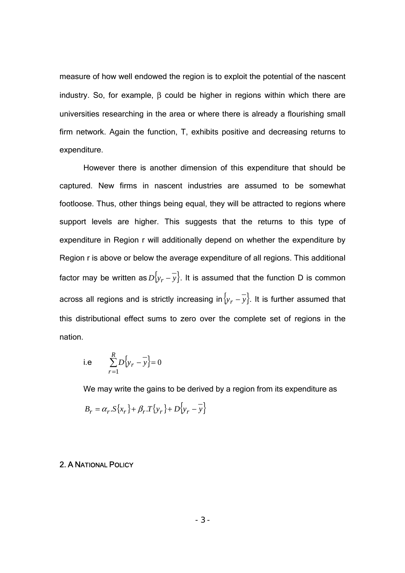measure of how well endowed the region is to exploit the potential of the nascent industry. So, for example,  $β$  could be higher in regions within which there are universities researching in the area or where there is already a flourishing small firm network. Again the function, T, exhibits positive and decreasing returns to expenditure.

 However there is another dimension of this expenditure that should be captured. New firms in nascent industries are assumed to be somewhat footloose. Thus, other things being equal, they will be attracted to regions where support levels are higher. This suggests that the returns to this type of expenditure in Region r will additionally depend on whether the expenditure by Region r is above or below the average expenditure of all regions. This additional factor may be written as  $D{y_r - y}$ . It is assumed that the function D is common across all regions and is strictly increasing in{*yr* − *y*}. It is further assumed that this distributional effect sums to zero over the complete set of regions in the nation.

i.e 
$$
\sum_{r=1}^{R} D{y_r - y} = 0
$$

We may write the gains to be derived by a region from its expenditure as

$$
B_r = \alpha_r \cdot S\{x_r\} + \beta_r \cdot T\{y_r\} + D\{y_r - \overline{y}\}
$$

#### 2. A NATIONAL POLICY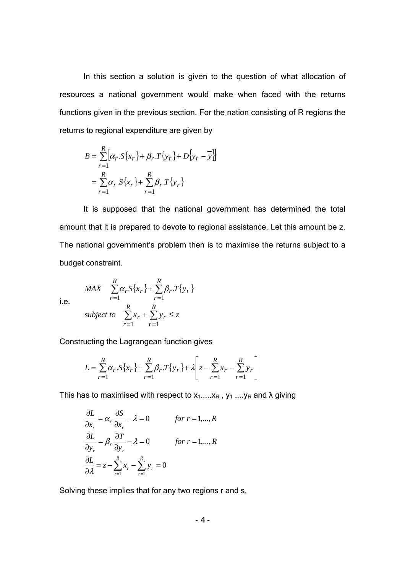In this section a solution is given to the question of what allocation of resources a national government would make when faced with the returns functions given in the previous section. For the nation consisting of R regions the returns to regional expenditure are given by

$$
B = \sum_{r=1}^{R} [\alpha_r . S\{x_r\} + \beta_r . T\{y_r\} + D\{y_r - y\}]
$$
  
=  $\sum_{r=1}^{R} \alpha_r . S\{x_r\} + \sum_{r=1}^{R} \beta_r . T\{y_r\}$ 

 It is supposed that the national government has determined the total amount that it is prepared to devote to regional assistance. Let this amount be z. The national government's problem then is to maximise the returns subject to a budget constraint.

i.e.

$$
\begin{aligned}\nMAX & \sum_{r=1} \alpha_r S\{x_r\} + \sum_{r=1} \beta_r T\{y_r\} \\
subject to & \sum_{r=1}^R x_r + \sum_{r=1}^R y_r \le z\n\end{aligned}
$$

*R*

*R*

Constructing the Lagrangean function gives

$$
L = \sum_{r=1}^{R} \alpha_r \cdot S\{x_r\} + \sum_{r=1}^{R} \beta_r \cdot T\{y_r\} + \lambda \left[ z - \sum_{r=1}^{R} x_r - \sum_{r=1}^{R} y_r \right]
$$

This has to maximised with respect to  $x_1$ ..... $x_R$ ,  $y_1$  .... $y_R$  and  $\lambda$  giving

$$
\frac{\partial L}{\partial x_r} = \alpha_r \frac{\partial S}{\partial x_r} - \lambda = 0 \qquad \text{for } r = 1, \dots, R
$$
  

$$
\frac{\partial L}{\partial y_r} = \beta_r \frac{\partial T}{\partial y_r} - \lambda = 0 \qquad \text{for } r = 1, \dots, R
$$
  

$$
\frac{\partial L}{\partial \lambda} = z - \sum_{r=1}^R x_r - \sum_{r=1}^R y_r = 0
$$

Solving these implies that for any two regions r and s,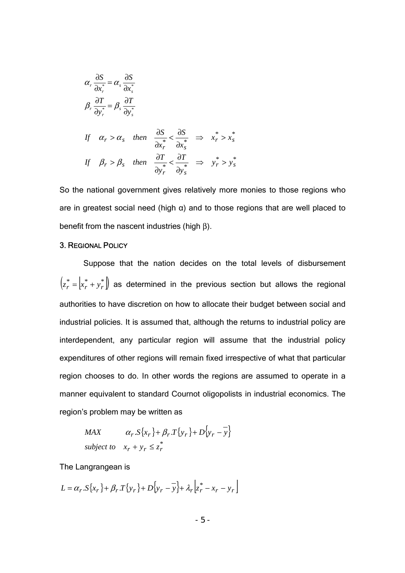$$
\alpha_r \frac{\partial S}{\partial x_r^*} = \alpha_s \frac{\partial S}{\partial x_s^*}
$$
\n
$$
\beta_r \frac{\partial T}{\partial y_r^*} = \beta_s \frac{\partial T}{\partial y_s^*}
$$
\nIf  $\alpha_r > \alpha_s$  then  $\frac{\partial S}{\partial x_r^*} < \frac{\partial S}{\partial x_s^*} \implies x_r^* > x_s^*$   
\nIf  $\beta_r > \beta_s$  then  $\frac{\partial T}{\partial y_r^*} < \frac{\partial T}{\partial y_s^*} \implies y_r^* > y_s^*$ 

So the national government gives relatively more monies to those regions who are in greatest social need (high  $\alpha$ ) and to those regions that are well placed to benefit from the nascent industries (high β).

#### 3. REGIONAL POLICY

 Suppose that the nation decides on the total levels of disbursement  $\left(z_r^* = \begin{bmatrix} x_r^* + y_r^* \end{bmatrix}\right)$  as determined in the previous section but allows the regional authorities to have discretion on how to allocate their budget between social and industrial policies. It is assumed that, although the returns to industrial policy are interdependent, any particular region will assume that the industrial policy expenditures of other regions will remain fixed irrespective of what that particular region chooses to do. In other words the regions are assumed to operate in a manner equivalent to standard Cournot oligopolists in industrial economics. The region's problem may be written as

MAX 
$$
\alpha_r \cdot S\{x_r\} + \beta_r \cdot T\{y_r\} + D\{y_r - y\}
$$
  
subject to  $x_r + y_r \le z_r^*$ 

The Langrangean is

 ${L} = \alpha_r S_{x} \{ x_r \} + \beta_r T_{y_r} \{ x_r \} + D_{y_r} \left[ \frac{1}{x_r} + x_r - y_r \right]$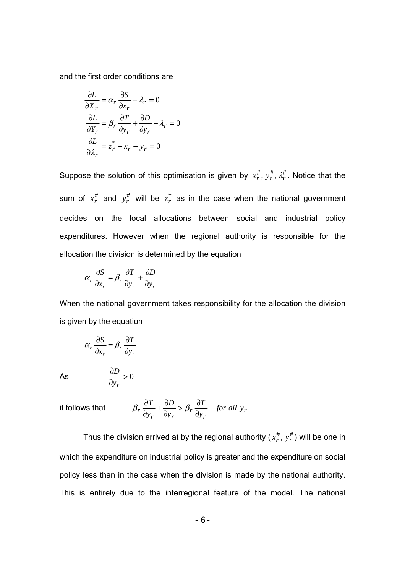and the first order conditions are

$$
\frac{\partial L}{\partial X_r} = \alpha_r \frac{\partial S}{\partial x_r} - \lambda_r = 0
$$

$$
\frac{\partial L}{\partial Y_r} = \beta_r \frac{\partial T}{\partial y_r} + \frac{\partial D}{\partial y_r} - \lambda_r = 0
$$

$$
\frac{\partial L}{\partial \lambda_r} = z_r^* - x_r - y_r = 0
$$

Suppose the solution of this optimisation is given by  $x_r^{\#}, y_r^{\#}, \lambda_r^{\#}$ . Notice that the sum of  $x_r^{\#}$  and  $y_r^{\#}$  will be  $z_r^*$  as in the case when the national government decides on the local allocations between social and industrial policy expenditures. However when the regional authority is responsible for the allocation the division is determined by the equation

$$
\alpha_r \frac{\partial S}{\partial x_r} = \beta_r \frac{\partial T}{\partial y_r} + \frac{\partial D}{\partial y_r}
$$

When the national government takes responsibility for the allocation the division is given by the equation

$$
\alpha_r \frac{\partial S}{\partial x_r} = \beta_r \frac{\partial T}{\partial y_r}
$$

 $As$ 

$$
\frac{\partial D}{\partial y_r} > 0
$$

it follows that  $\beta_r \frac{\partial P}{\partial y_r} + \frac{\partial P}{\partial y_r} > \beta_r \frac{\partial P}{\partial y_r}$  *for all y<sub>r</sub> T y D y T* ∂  $>\beta_r \frac{\partial}{\partial r}$ ∂  $+\frac{6}{5}$ ∂  $\beta_r \frac{\partial T}{\partial r} + \frac{\partial D}{\partial r} > \beta_1$ 

Thus the division arrived at by the regional authority ( $x_r^{\#}$ ,  $y_r^{\#}$ ) will be one in which the expenditure on industrial policy is greater and the expenditure on social policy less than in the case when the division is made by the national authority. This is entirely due to the interregional feature of the model. The national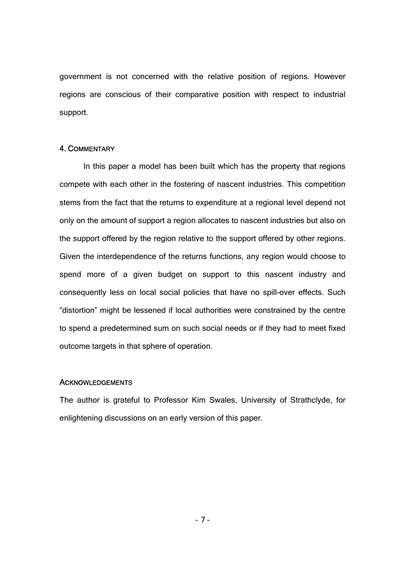government is not concerned with the relative position of regions. However regions are conscious of their comparative position with respect to industrial support.

#### 4. COMMENTARY

 In this paper a model has been built which has the property that regions compete with each other in the fostering of nascent industries. This competition stems from the fact that the returns to expenditure at a regional level depend not only on the amount of support a region allocates to nascent industries but also on the support offered by the region relative to the support offered by other regions. Given the interdependence of the returns functions, any region would choose to spend more of a given budget on support to this nascent industry and consequently less on local social policies that have no spill-over effects. Such "distortion" might be lessened if local authorities were constrained by the centre to spend a predetermined sum on such social needs or if they had to meet fixed outcome targets in that sphere of operation.

#### **ACKNOWLEDGEMENTS**

The author is grateful to Professor Kim Swales, University of Strathclyde, for enlightening discussions on an early version of this paper.